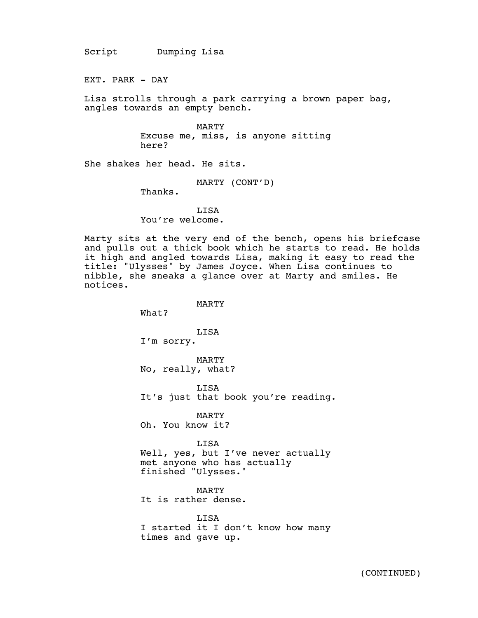Script **Dumping Lisa** 

EXT. PARK - DAY

Lisa strolls through a park carrying a brown paper bag, angles towards an empty bench.

> MARTY Excuse me, miss, is anyone sitting here?

She shakes her head. He sits.

MARTY (CONT'D)

Thanks.

LISA You're welcome.

Marty sits at the very end of the bench, opens his briefcase and pulls out a thick book which he starts to read. He holds it high and angled towards Lisa, making it easy to read the title: "Ulysses" by James Joyce. When Lisa continues to nibble, she sneaks a glance over at Marty and smiles. He notices.

MARTY

What?

LISA I'm sorry.

MARTY No, really, what?

LISA It's just that book you're reading.

MARTY Oh. You know it?

LISA

Well, yes, but I've never actually met anyone who has actually finished "Ulysses."

MARTY It is rather dense.

LISA I started it I don't know how many times and gave up.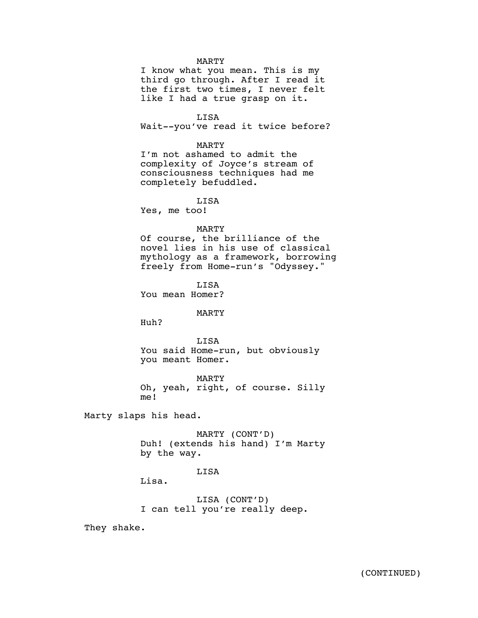## MARTY

I know what you mean. This is my third go through. After I read it the first two times, I never felt like I had a true grasp on it.

LISA Wait--you've read it twice before?

## MARTY

I'm not ashamed to admit the complexity of Joyce's stream of consciousness techniques had me completely befuddled.

LISA

Yes, me too!

## MARTY

Of course, the brilliance of the novel lies in his use of classical mythology as a framework, borrowing freely from Home-run's "Odyssey."

**LISA** You mean Homer?

## MARTY

Huh?

LISA You said Home-run, but obviously you meant Homer.

MARTY Oh, yeah, right, of course. Silly me!

Marty slaps his head.

MARTY (CONT'D) Duh! (extends his hand) I'm Marty by the way.

LISA

Lisa.

LISA (CONT'D) I can tell you're really deep.

They shake.